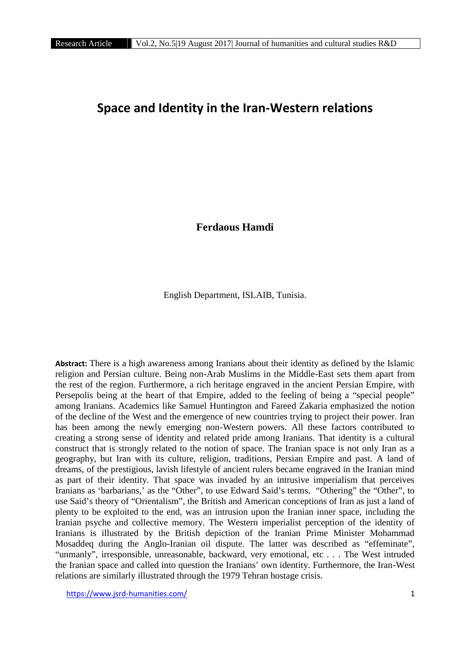# **Space and Identity in the Iran-Western relations**

**Ferdaous Hamdi**

English Department, ISLAIB, Tunisia.

**Abstract:** There is a high awareness among Iranians about their identity as defined by the Islamic religion and Persian culture. Being non-Arab Muslims in the Middle-East sets them apart from the rest of the region. Furthermore, a rich heritage engraved in the ancient Persian Empire, with Persepolis being at the heart of that Empire, added to the feeling of being a "special people" among Iranians. Academics like Samuel Huntington and Fareed Zakaria emphasized the notion of the decline of the West and the emergence of new countries trying to project their power. Iran has been among the newly emerging non-Western powers. All these factors contributed to creating a strong sense of identity and related pride among Iranians. That identity is a cultural construct that is strongly related to the notion of space. The Iranian space is not only Iran as a geography, but Iran with its culture, religion, traditions, Persian Empire and past. A land of dreams, of the prestigious, lavish lifestyle of ancient rulers became engraved in the Iranian mind as part of their identity. That space was invaded by an intrusive imperialism that perceives Iranians as 'barbarians,' as the "Other", to use Edward Said's terms. "Othering" the "Other", to use Said's theory of "Orientalism", the British and American conceptions of Iran as just a land of plenty to be exploited to the end, was an intrusion upon the Iranian inner space, including the Iranian psyche and collective memory. The Western imperialist perception of the identity of Iranians is illustrated by the British depiction of the Iranian Prime Minister Mohammad Mosaddeq during the Anglo-Iranian oil dispute. The latter was described as "effeminate", "unmanly", irresponsible, unreasonable, backward, very emotional, etc . . . The West intruded the Iranian space and called into question the Iranians' own identity. Furthermore, the Iran-West relations are similarly illustrated through the 1979 Tehran hostage crisis.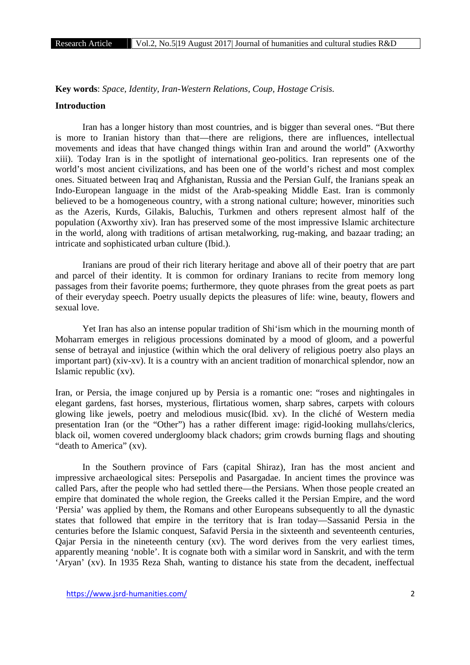**Key words**: *Space, Identity, Iran-Western Relations, Coup, Hostage Crisis.*

#### **Introduction**

Iran has a longer history than most countries, and is bigger than several ones. "But there is more to Iranian history than that—there are religions, there are influences, intellectual movements and ideas that have changed things within Iran and around the world" (Axworthy xiii). Today Iran is in the spotlight of international geo-politics. Iran represents one of the world's most ancient civilizations, and has been one of the world's richest and most complex ones. Situated between Iraq and Afghanistan, Russia and the Persian Gulf, the Iranians speak an Indo-European language in the midst of the Arab-speaking Middle East. Iran is commonly believed to be a homogeneous country, with a strong national culture; however, minorities such as the Azeris, Kurds, Gilakis, Baluchis, Turkmen and others represent almost half of the population (Axworthy xiv). Iran has preserved some of the most impressive Islamic architecture in the world, along with traditions of artisan metalworking, rug-making, and bazaar trading; an intricate and sophisticated urban culture (Ibid.).

Iranians are proud of their rich literary heritage and above all of their poetry that are part and parcel of their identity. It is common for ordinary Iranians to recite from memory long passages from their favorite poems; furthermore, they quote phrases from the great poets as part of their everyday speech. Poetry usually depicts the pleasures of life: wine, beauty, flowers and sexual love.

Yet Iran has also an intense popular tradition of Shi'ism which in the mourning month of Moharram emerges in religious processions dominated by a mood of gloom, and a powerful sense of betrayal and injustice (within which the oral delivery of religious poetry also plays an important part) (xiv-xv). It is a country with an ancient tradition of monarchical splendor, now an Islamic republic (xv).

Iran, or Persia, the image conjured up by Persia is a romantic one: "roses and nightingales in elegant gardens, fast horses, mysterious, flirtatious women, sharp sabres, carpets with colours glowing like jewels, poetry and melodious music(Ibid. xv). In the cliché of Western media presentation Iran (or the "Other") has a rather different image: rigid-looking mullahs/clerics, black oil, women covered undergloomy black chadors; grim crowds burning flags and shouting "death to America" (xv).

In the Southern province of Fars (capital Shiraz), Iran has the most ancient and impressive archaeological sites: Persepolis and Pasargadae. In ancient times the province was called Pars, after the people who had settled there—the Persians. When those people created an empire that dominated the whole region, the Greeks called it the Persian Empire, and the word 'Persia' was applied by them, the Romans and other Europeans subsequently to all the dynastic states that followed that empire in the territory that is Iran today—Sassanid Persia in the centuries before the Islamic conquest, Safavid Persia in the sixteenth and seventeenth centuries, Qajar Persia in the nineteenth century (xv). The word derives from the very earliest times, apparently meaning 'noble'. It is cognate both with a similar word in Sanskrit, and with the term 'Aryan' (xv). In 1935 Reza Shah, wanting to distance his state from the decadent, ineffectual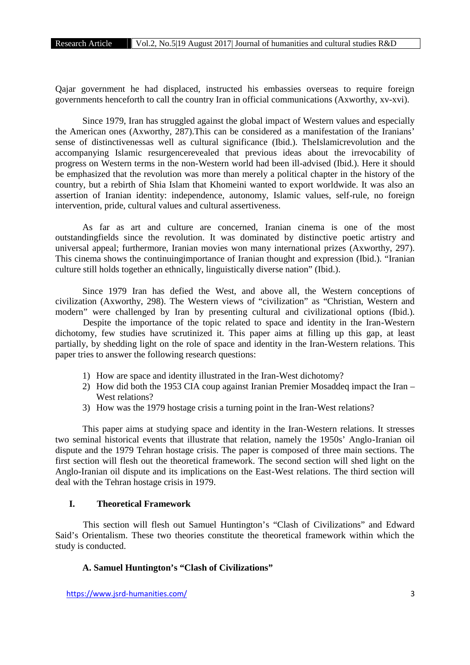Qajar government he had displaced, instructed his embassies overseas to require foreign governments henceforth to call the country Iran in official communications (Axworthy, xv-xvi).

Since 1979, Iran has struggled against the global impact of Western values and especially the American ones (Axworthy, 287).This can be considered as a manifestation of the Iranians' sense of distinctivenessas well as cultural significance (Ibid.). TheIslamicrevolution and the accompanying Islamic resurgencerevealed that previous ideas about the irrevocability of progress on Western terms in the non-Western world had been ill-advised (Ibid.). Here it should be emphasized that the revolution was more than merely a political chapter in the history of the country, but a rebirth of Shia Islam that Khomeini wanted to export worldwide. It was also an assertion of Iranian identity: independence, autonomy, Islamic values, self-rule, no foreign intervention, pride, cultural values and cultural assertiveness.

As far as art and culture are concerned, Iranian cinema is one of the most outstandingfields since the revolution. It was dominated by distinctive poetic artistry and universal appeal; furthermore, Iranian movies won many international prizes (Axworthy, 297). This cinema shows the continuingimportance of Iranian thought and expression (Ibid.). "Iranian culture still holds together an ethnically, linguistically diverse nation" (Ibid.).

Since 1979 Iran has defied the West, and above all, the Western conceptions of civilization (Axworthy, 298). The Western views of "civilization" as "Christian, Western and modern" were challenged by Iran by presenting cultural and civilizational options (Ibid.).

Despite the importance of the topic related to space and identity in the Iran-Western dichotomy, few studies have scrutinized it. This paper aims at filling up this gap, at least partially, by shedding light on the role of space and identity in the Iran-Western relations. This paper tries to answer the following research questions:

- 1) How are space and identity illustrated in the Iran-West dichotomy?
- 2) How did both the 1953 CIA coup against Iranian Premier Mosaddeq impact the Iran West relations?
- 3) How was the 1979 hostage crisis a turning point in the Iran-West relations?

This paper aims at studying space and identity in the Iran-Western relations. It stresses two seminal historical events that illustrate that relation, namely the 1950s' Anglo-Iranian oil dispute and the 1979 Tehran hostage crisis. The paper is composed of three main sections. The first section will flesh out the theoretical framework. The second section will shed light on the Anglo-Iranian oil dispute and its implications on the East-West relations. The third section will deal with the Tehran hostage crisis in 1979.

#### **I. Theoretical Framework**

This section will flesh out Samuel Huntington's "Clash of Civilizations" and Edward Said's Orientalism. These two theories constitute the theoretical framework within which the study is conducted.

#### **A. Samuel Huntington's "Clash of Civilizations"**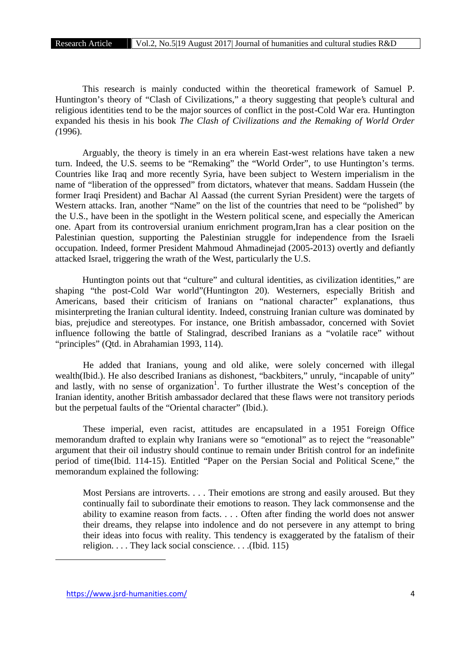This research is mainly conducted within the theoretical framework of Samuel P. Huntington's theory of "Clash of Civilizations," a theory suggesting that people's cultural and religious identities tend to be the major sources of conflict in the post-Cold War era. Huntington expanded his thesis in his book *The Clash of Civilizations and the Remaking of World Order (*1996).

Arguably, the theory is timely in an era wherein East-west relations have taken a new turn. Indeed, the U.S. seems to be "Remaking" the "World Order", to use Huntington's terms. Countries like Iraq and more recently Syria, have been subject to Western imperialism in the name of "liberation of the oppressed" from dictators, whatever that means. Saddam Hussein (the former Iraqi President) and Bachar Al Aassad (the current Syrian President) were the targets of Western attacks. Iran, another "Name" on the list of the countries that need to be "polished" by the U.S., have been in the spotlight in the Western political scene, and especially the American one. Apart from its controversial uranium enrichment program,Iran has a clear position on the Palestinian question, supporting the Palestinian struggle for independence from the Israeli occupation. Indeed, former President Mahmoud Ahmadinejad (2005-2013) overtly and defiantly attacked Israel, triggering the wrath of the West, particularly the U.S.

Huntington points out that "culture" and cultural identities, as civilization identities," are shaping "the post-Cold War world"(Huntington 20). Westerners, especially British and Americans, based their criticism of Iranians on "national character" explanations, thus misinterpreting the Iranian cultural identity. Indeed, construing Iranian culture was dominated by bias, prejudice and stereotypes. For instance, one British ambassador, concerned with Soviet influence following the battle of Stalingrad, described Iranians as a "volatile race" without "principles" (Qtd. in Abrahamian 1993, 114).

He added that Iranians, young and old alike, were solely concerned with illegal wealth(Ibid.). He also described Iranians as dishonest, "backbiters," unruly, "incapable of unity" and lastly, with no sense of organization<sup>1</sup>. To further illustrate the West's conception of the Iranian identity, another British ambassador declared that these flaws were not transitory periods but the perpetual faults of the "Oriental character" (Ibid.).

These imperial, even racist, attitudes are encapsulated in a 1951 Foreign Office memorandum drafted to explain why Iranians were so "emotional" as to reject the "reasonable" argument that their oil industry should continue to remain under British control for an indefinite period of time(Ibid. 114-15). Entitled "Paper on the Persian Social and Political Scene," the memorandum explained the following:

Most Persians are introverts. . . . Their emotions are strong and easily aroused. But they continually fail to subordinate their emotions to reason. They lack commonsense and the ability to examine reason from facts. . . . Often after finding the world does not answer their dreams, they relapse into indolence and do not persevere in any attempt to bring their ideas into focus with reality. This tendency is exaggerated by the fatalism of their religion. . . . They lack social conscience. . . .(Ibid. 115)

https://www.jsrd-humanities.com/ 4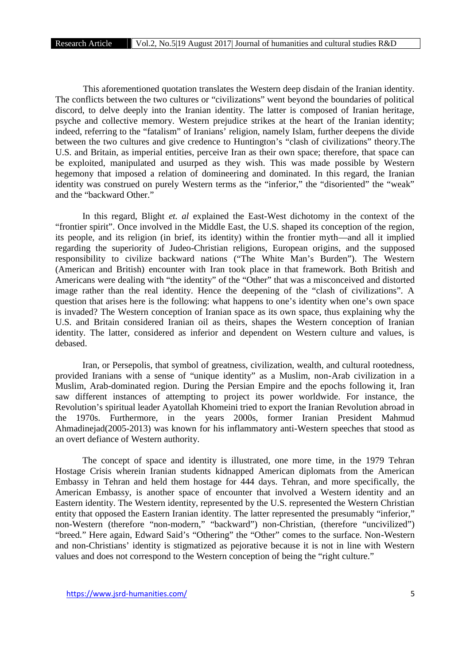This aforementioned quotation translates the Western deep disdain of the Iranian identity. The conflicts between the two cultures or "civilizations" went beyond the boundaries of political discord, to delve deeply into the Iranian identity. The latter is composed of Iranian heritage, psyche and collective memory. Western prejudice strikes at the heart of the Iranian identity; indeed, referring to the "fatalism" of Iranians' religion, namely Islam, further deepens the divide between the two cultures and give credence to Huntington's "clash of civilizations" theory.The U.S. and Britain, as imperial entities, perceive Iran as their own space; therefore, that space can be exploited, manipulated and usurped as they wish. This was made possible by Western hegemony that imposed a relation of domineering and dominated. In this regard, the Iranian identity was construed on purely Western terms as the "inferior," the "disoriented" the "weak" and the "backward Other."

In this regard, Blight *et. al* explained the East-West dichotomy in the context of the "frontier spirit". Once involved in the Middle East, the U.S. shaped its conception of the region, its people, and its religion (in brief, its identity) within the frontier myth—and all it implied regarding the superiority of Judeo-Christian religions, European origins, and the supposed responsibility to civilize backward nations ("The White Man's Burden"). The Western (American and British) encounter with Iran took place in that framework. Both British and Americans were dealing with "the identity" of the "Other" that was a misconceived and distorted image rather than the real identity. Hence the deepening of the "clash of civilizations". A question that arises here is the following: what happens to one's identity when one's own space is invaded? The Western conception of Iranian space as its own space, thus explaining why the U.S. and Britain considered Iranian oil as theirs, shapes the Western conception of Iranian identity. The latter, considered as inferior and dependent on Western culture and values, is debased.

Iran, or Persepolis, that symbol of greatness, civilization, wealth, and cultural rootedness, provided Iranians with a sense of "unique identity" as a Muslim, non-Arab civilization in a Muslim, Arab-dominated region. During the Persian Empire and the epochs following it, Iran saw different instances of attempting to project its power worldwide. For instance, the Revolution's spiritual leader Ayatollah Khomeini tried to export the Iranian Revolution abroad in the 1970s. Furthermore, in the years 2000s, former Iranian President Mahmud Ahmadinejad(2005-2013) was known for his inflammatory anti-Western speeches that stood as an overt defiance of Western authority.

The concept of space and identity is illustrated, one more time, in the 1979 Tehran Hostage Crisis wherein Iranian students kidnapped American diplomats from the American Embassy in Tehran and held them hostage for 444 days. Tehran, and more specifically, the American Embassy, is another space of encounter that involved a Western identity and an Eastern identity. The Western identity, represented by the U.S. represented the Western Christian entity that opposed the Eastern Iranian identity. The latter represented the presumably "inferior," non-Western (therefore "non-modern," "backward") non-Christian, (therefore "uncivilized") "breed." Here again, Edward Said's "Othering" the "Other" comes to the surface. Non-Western and non-Christians' identity is stigmatized as pejorative because it is not in line with Western values and does not correspond to the Western conception of being the "right culture."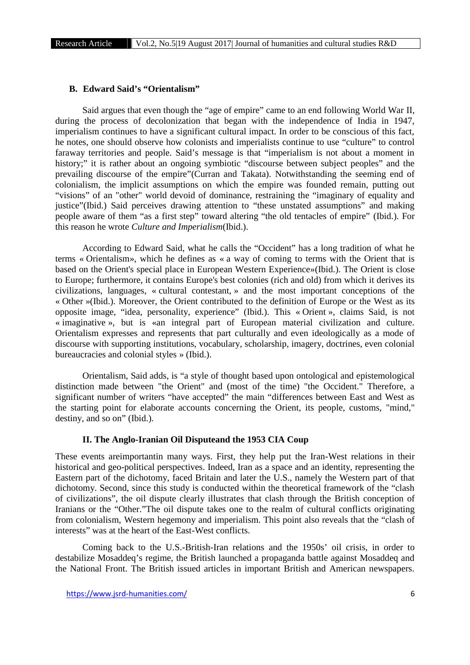## **B. Edward Said's "Orientalism"**

Said argues that even though the "age of empire" came to an end following World War II, during the process of decolonization that began with the independence of India in 1947, imperialism continues to have a significant cultural impact. In order to be conscious of this fact, he notes, one should observe how colonists and imperialists continue to use "culture" to control faraway territories and people. Said's message is that "imperialism is not about a moment in history;" it is rather about an ongoing symbiotic "discourse between subject peoples" and the prevailing discourse of the empire"(Curran and Takata). Notwithstanding the seeming end of colonialism, the implicit assumptions on which the empire was founded remain, putting out "visions" of an "other" world devoid of dominance, restraining the "imaginary of equality and justice"(Ibid.) Said perceives drawing attention to "these unstated assumptions" and making people aware of them "as a first step" toward altering "the old tentacles of empire" (Ibid.). For this reason he wrote *Culture and Imperialism*(Ibid.).

According to Edward Said, what he calls the "Occident" has a long tradition of what he terms « Orientalism», which he defines as « a way of coming to terms with the Orient that is based on the Orient's special place in European Western Experience»(Ibid.). The Orient is close to Europe; furthermore, it contains Europe's best colonies (rich and old) from which it derives its civilizations, languages, « cultural contestant, » and the most important conceptions of the « Other »(Ibid.). Moreover, the Orient contributed to the definition of Europe or the West as its opposite image, "idea, personality, experience" (Ibid.). This « Orient », claims Said, is not « imaginative », but is «an integral part of European material civilization and culture. Orientalism expresses and represents that part culturally and even ideologically as a mode of discourse with supporting institutions, vocabulary, scholarship, imagery, doctrines, even colonial bureaucracies and colonial styles » (Ibid.).

Orientalism, Said adds, is "a style of thought based upon ontological and epistemological distinction made between "the Orient" and (most of the time) "the Occident." Therefore, a significant number of writers "have accepted" the main "differences between East and West as the starting point for elaborate accounts concerning the Orient, its people, customs, "mind," destiny, and so on" (Ibid.).

## **II. The Anglo-Iranian Oil Disputeand the 1953 CIA Coup**

These events areimportantin many ways. First, they help put the Iran-West relations in their historical and geo-political perspectives. Indeed, Iran as a space and an identity, representing the Eastern part of the dichotomy, faced Britain and later the U.S., namely the Western part of that dichotomy. Second, since this study is conducted within the theoretical framework of the "clash of civilizations", the oil dispute clearly illustrates that clash through the British conception of Iranians or the "Other."The oil dispute takes one to the realm of cultural conflicts originating from colonialism, Western hegemony and imperialism. This point also reveals that the "clash of interests" was at the heart of the East-West conflicts.

Coming back to the U.S.-British-Iran relations and the 1950s' oil crisis, in order to destabilize Mosaddeq's regime, the British launched a propaganda battle against Mosaddeq and the National Front. The British issued articles in important British and American newspapers.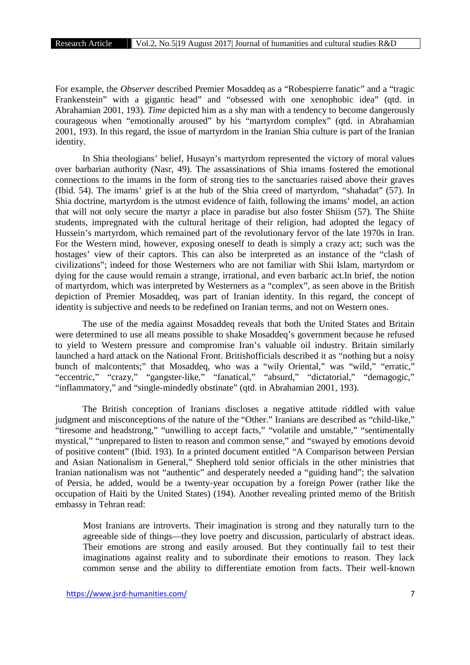For example, the *Observer* described Premier Mosaddeq as a "Robespierre fanatic" and a "tragic Frankenstein" with a gigantic head" and "obsessed with one xenophobic idea" (qtd. in Abrahamian 2001, 193)*. Time* depicted him as a shy man with a tendency to become dangerously courageous when "emotionally aroused" by his "martyrdom complex" (qtd. in Abrahamian 2001, 193). In this regard, the issue of martyrdom in the Iranian Shia culture is part of the Iranian identity.

In Shia theologians' belief, Husayn's martyrdom represented the victory of moral values over barbarian authority (Nasr, 49). The assassinations of Shia imams fostered the emotional connections to the imams in the form of strong ties to the sanctuaries raised above their graves (Ibid. 54). The imams' grief is at the hub of the Shia creed of martyrdom, "shahadat" (57). In Shia doctrine, martyrdom is the utmost evidence of faith, following the imams' model, an action that will not only secure the martyr a place in paradise but also foster Shiism (57). The Shiite students, impregnated with the cultural heritage of their religion, had adopted the legacy of Hussein's martyrdom, which remained part of the revolutionary fervor of the late 1970s in Iran. For the Western mind, however, exposing oneself to death is simply a crazy act; such was the hostages' view of their captors. This can also be interpreted as an instance of the "clash of civilizations"; indeed for those Westerners who are not familiar with Shii Islam, martyrdom or dying for the cause would remain a strange, irrational, and even barbaric act.In brief, the notion of martyrdom, which was interpreted by Westerners as a "complex", as seen above in the British depiction of Premier Mosaddeq, was part of Iranian identity. In this regard, the concept of identity is subjective and needs to be redefined on Iranian terms, and not on Western ones.

The use of the media against Mosaddeq reveals that both the United States and Britain were determined to use all means possible to shake Mosaddeq's government because he refused to yield to Western pressure and compromise Iran's valuable oil industry. Britain similarly launched a hard attack on the National Front. Britishofficials described it as "nothing but a noisy bunch of malcontents;" that Mosaddeq, who was a "wily Oriental," was "wild," "erratic," "eccentric," "crazy," "gangster-like," "fanatical," "absurd," "dictatorial," "demagogic," "inflammatory," and "single-mindedly obstinate" (qtd. in Abrahamian 2001, 193).

The British conception of Iranians discloses a negative attitude riddled with value judgment and misconceptions of the nature of the "Other." Iranians are described as "child-like," "tiresome and headstrong," "unwilling to accept facts," "volatile and unstable," "sentimentally mystical," "unprepared to listen to reason and common sense," and "swayed by emotions devoid of positive content" (Ibid. 193). In a printed document entitled "A Comparison between Persian and Asian Nationalism in General," Shepherd told senior officials in the other ministries that Iranian nationalism was not "authentic" and desperately needed a "guiding hand"; the salvation of Persia, he added, would be a twenty-year occupation by a foreign Power (rather like the occupation of Haiti by the United States) (194). Another revealing printed memo of the British embassy in Tehran read:

Most Iranians are introverts. Their imagination is strong and they naturally turn to the agreeable side of things—they love poetry and discussion, particularly of abstract ideas. Their emotions are strong and easily aroused. But they continually fail to test their imaginations against reality and to subordinate their emotions to reason. They lack common sense and the ability to differentiate emotion from facts. Their well-known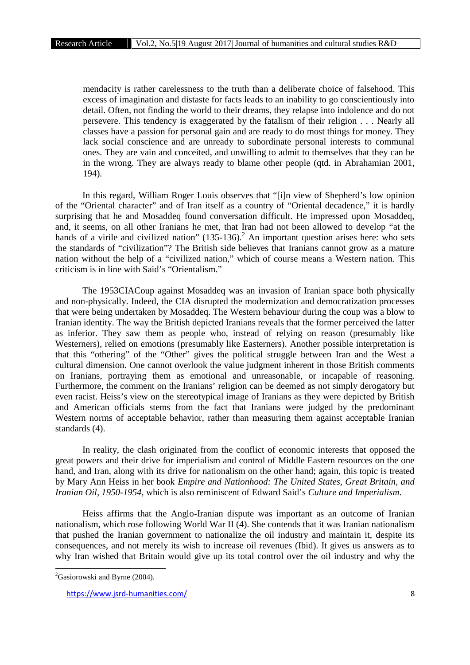mendacity is rather carelessness to the truth than a deliberate choice of falsehood. This excess of imagination and distaste for facts leads to an inability to go conscientiously into detail. Often, not finding the world to their dreams, they relapse into indolence and do not persevere. This tendency is exaggerated by the fatalism of their religion . . . Nearly all classes have a passion for personal gain and are ready to do most things for money. They lack social conscience and are unready to subordinate personal interests to communal ones. They are vain and conceited, and unwilling to admit to themselves that they can be in the wrong. They are always ready to blame other people (qtd. in Abrahamian 2001, 194).

In this regard, William Roger Louis observes that "[i]n view of Shepherd's low opinion of the "Oriental character" and of Iran itself as a country of "Oriental decadence," it is hardly surprising that he and Mosaddeq found conversation difficult. He impressed upon Mosaddeq, and, it seems, on all other Iranians he met, that Iran had not been allowed to develop "at the hands of a virile and civilized nation"  $(135-136)$ .<sup>2</sup> An important question arises here: who sets the standards of "civilization"? The British side believes that Iranians cannot grow as a mature nation without the help of a "civilized nation," which of course means a Western nation. This criticism is in line with Said's "Orientalism."

The 1953CIACoup against Mosaddeq was an invasion of Iranian space both physically and non-physically. Indeed, the CIA disrupted the modernization and democratization processes that were being undertaken by Mosaddeq. The Western behaviour during the coup was a blow to Iranian identity. The way the British depicted Iranians reveals that the former perceived the latter as inferior. They saw them as people who, instead of relying on reason (presumably like Westerners), relied on emotions (presumably like Easterners). Another possible interpretation is that this "othering" of the "Other" gives the political struggle between Iran and the West a cultural dimension. One cannot overlook the value judgment inherent in those British comments on Iranians, portraying them as emotional and unreasonable, or incapable of reasoning. Furthermore, the comment on the Iranians' religion can be deemed as not simply derogatory but even racist. Heiss's view on the stereotypical image of Iranians as they were depicted by British and American officials stems from the fact that Iranians were judged by the predominant Western norms of acceptable behavior, rather than measuring them against acceptable Iranian standards (4).

In reality, the clash originated from the conflict of economic interests that opposed the great powers and their drive for imperialism and control of Middle Eastern resources on the one hand, and Iran, along with its drive for nationalism on the other hand; again, this topic is treated by Mary Ann Heiss in her book *Empire and Nationhood: The United States, Great Britain, and Iranian Oil, 1950-1954,* which is also reminiscent of Edward Said's *Culture and Imperialism*.

Heiss affirms that the Anglo-Iranian dispute was important as an outcome of Iranian nationalism, which rose following World War II (4). She contends that it was Iranian nationalism that pushed the Iranian government to nationalize the oil industry and maintain it, despite its consequences, and not merely its wish to increase oil revenues (Ibid). It gives us answers as to why Iran wished that Britain would give up its total control over the oil industry and why the

 ${}^{2}$ Gasiorowski and Byrne (2004).

https://www.jsrd-humanities.com/ 8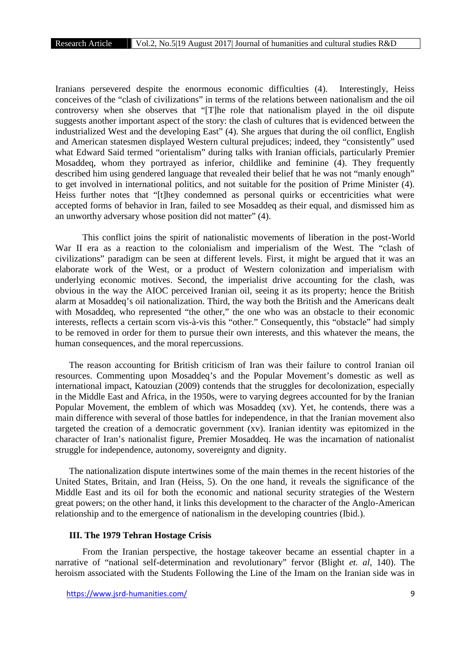Iranians persevered despite the enormous economic difficulties (4). Interestingly, Heiss conceives of the "clash of civilizations" in terms of the relations between nationalism and the oil controversy when she observes that "[T]he role that nationalism played in the oil dispute suggests another important aspect of the story: the clash of cultures that is evidenced between the industrialized West and the developing East" (4). She argues that during the oil conflict, English and American statesmen displayed Western cultural prejudices; indeed, they "consistently" used what Edward Said termed "orientalism" during talks with Iranian officials, particularly Premier Mosaddeq, whom they portrayed as inferior, childlike and feminine (4). They frequently described him using gendered language that revealed their belief that he was not "manly enough" to get involved in international politics, and not suitable for the position of Prime Minister (4). Heiss further notes that "[t]hey condemned as personal quirks or eccentricities what were accepted forms of behavior in Iran, failed to see Mosaddeq as their equal, and dismissed him as an unworthy adversary whose position did not matter" (4).

This conflict joins the spirit of nationalistic movements of liberation in the post-World War II era as a reaction to the colonialism and imperialism of the West. The "clash of civilizations" paradigm can be seen at different levels. First, it might be argued that it was an elaborate work of the West, or a product of Western colonization and imperialism with underlying economic motives. Second, the imperialist drive accounting for the clash, was obvious in the way the AIOC perceived Iranian oil, seeing it as its property; hence the British alarm at Mosaddeq's oil nationalization. Third, the way both the British and the Americans dealt with Mosaddeq, who represented "the other," the one who was an obstacle to their economic interests, reflects a certain scorn vis-à-vis this "other." Consequently, this "obstacle" had simply to be removed in order for them to pursue their own interests, and this whatever the means, the human consequences, and the moral repercussions.

The reason accounting for British criticism of Iran was their failure to control Iranian oil resources. Commenting upon Mosaddeq's and the Popular Movement's domestic as well as international impact, Katouzian (2009) contends that the struggles for decolonization, especially in the Middle East and Africa, in the 1950s, were to varying degrees accounted for by the Iranian Popular Movement, the emblem of which was Mosaddeq (xv). Yet, he contends, there was a main difference with several of those battles for independence, in that the Iranian movement also targeted the creation of a democratic government (xv). Iranian identity was epitomized in the character of Iran's nationalist figure, Premier Mosaddeq. He was the incarnation of nationalist struggle for independence, autonomy, sovereignty and dignity.

The nationalization dispute intertwines some of the main themes in the recent histories of the United States, Britain, and Iran (Heiss, 5). On the one hand, it reveals the significance of the Middle East and its oil for both the economic and national security strategies of the Western great powers; on the other hand, it links this development to the character of the Anglo-American relationship and to the emergence of nationalism in the developing countries (Ibid.).

## **III. The 1979 Tehran Hostage Crisis**

From the Iranian perspective, the hostage takeover became an essential chapter in a narrative of "national self-determination and revolutionary" fervor (Blight *et. al*, 140). The heroism associated with the Students Following the Line of the Imam on the Iranian side was in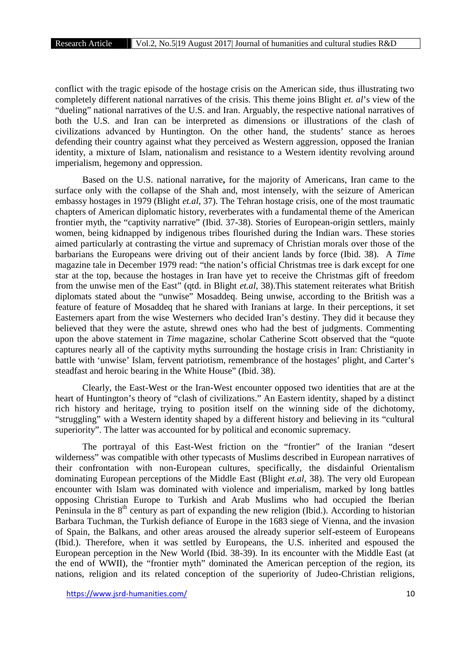conflict with the tragic episode of the hostage crisis on the American side, thus illustrating two completely different national narratives of the crisis. This theme joins Blight *et. al*'s view of the "dueling" national narratives of the U.S. and Iran. Arguably, the respective national narratives of both the U.S. and Iran can be interpreted as dimensions or illustrations of the clash of civilizations advanced by Huntington. On the other hand, the students' stance as heroes defending their country against what they perceived as Western aggression, opposed the Iranian identity, a mixture of Islam, nationalism and resistance to a Western identity revolving around imperialism, hegemony and oppression.

Based on the U.S. national narrative**,** for the majority of Americans, Iran came to the surface only with the collapse of the Shah and, most intensely, with the seizure of American embassy hostages in 1979 (Blight *et.al*, 37). The Tehran hostage crisis, one of the most traumatic chapters of American diplomatic history, reverberates with a fundamental theme of the American frontier myth, the "captivity narrative" (Ibid. 37-38). Stories of European-origin settlers, mainly women, being kidnapped by indigenous tribes flourished during the Indian wars. These stories aimed particularly at contrasting the virtue and supremacy of Christian morals over those of the barbarians the Europeans were driving out of their ancient lands by force (Ibid. 38). A *Time* magazine tale in December 1979 read: "the nation's official Christmas tree is dark except for one star at the top, because the hostages in Iran have yet to receive the Christmas gift of freedom from the unwise men of the East" (qtd. in Blight *et.al*, 38).This statement reiterates what British diplomats stated about the "unwise" Mosaddeq. Being unwise, according to the British was a feature of feature of Mosaddeq that he shared with Iranians at large. In their perceptions, it set Easterners apart from the wise Westerners who decided Iran's destiny. They did it because they believed that they were the astute, shrewd ones who had the best of judgments. Commenting upon the above statement in *Time* magazine, scholar Catherine Scott observed that the "quote captures nearly all of the captivity myths surrounding the hostage crisis in Iran: Christianity in battle with 'unwise' Islam, fervent patriotism, remembrance of the hostages' plight, and Carter's steadfast and heroic bearing in the White House" (Ibid. 38).

Clearly, the East-West or the Iran-West encounter opposed two identities that are at the heart of Huntington's theory of "clash of civilizations." An Eastern identity, shaped by a distinct rich history and heritage, trying to position itself on the winning side of the dichotomy, "struggling" with a Western identity shaped by a different history and believing in its "cultural superiority". The latter was accounted for by political and economic supremacy.

The portrayal of this East-West friction on the "frontier" of the Iranian "desert wilderness" was compatible with other typecasts of Muslims described in European narratives of their confrontation with non-European cultures, specifically, the disdainful Orientalism dominating European perceptions of the Middle East (Blight *et.al*, 38). The very old European encounter with Islam was dominated with violence and imperialism, marked by long battles opposing Christian Europe to Turkish and Arab Muslims who had occupied the Iberian Peninsula in the  $8<sup>th</sup>$  century as part of expanding the new religion (Ibid.). According to historian Barbara Tuchman, the Turkish defiance of Europe in the 1683 siege of Vienna, and the invasion of Spain, the Balkans, and other areas aroused the already superior self-esteem of Europeans (Ibid.). Therefore, when it was settled by Europeans, the U.S. inherited and espoused the European perception in the New World (Ibid. 38-39). In its encounter with the Middle East (at the end of WWII), the "frontier myth" dominated the American perception of the region, its nations, religion and its related conception of the superiority of Judeo-Christian religions,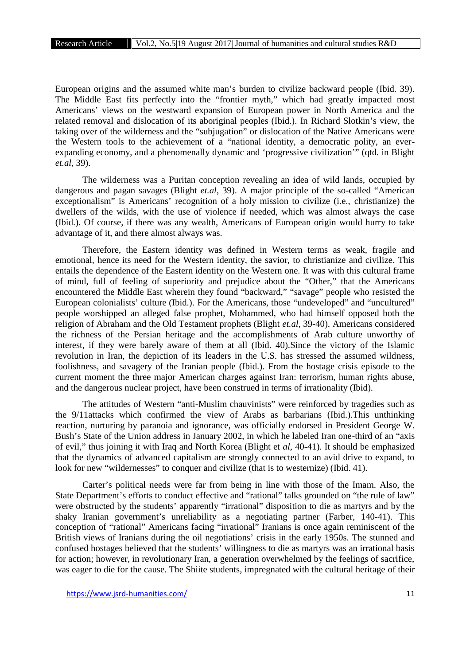European origins and the assumed white man's burden to civilize backward people (Ibid. 39). The Middle East fits perfectly into the "frontier myth," which had greatly impacted most Americans' views on the westward expansion of European power in North America and the related removal and dislocation of its aboriginal peoples (Ibid.). In Richard Slotkin's view, the taking over of the wilderness and the "subjugation" or dislocation of the Native Americans were the Western tools to the achievement of a "national identity, a democratic polity, an ever expanding economy, and a phenomenally dynamic and 'progressive civilization'" (qtd. in Blight *et.al*, 39).

The wilderness was a Puritan conception revealing an idea of wild lands, occupied by dangerous and pagan savages (Blight *et.al*, 39). A major principle of the so-called "American exceptionalism" is Americans' recognition of a holy mission to civilize (i.e., christianize) the dwellers of the wilds, with the use of violence if needed, which was almost always the case (Ibid.). Of course, if there was any wealth, Americans of European origin would hurry to take advantage of it, and there almost always was.

Therefore, the Eastern identity was defined in Western terms as weak, fragile and emotional, hence its need for the Western identity, the savior, to christianize and civilize. This entails the dependence of the Eastern identity on the Western one. It was with this cultural frame of mind, full of feeling of superiority and prejudice about the "Other," that the Americans encountered the Middle East wherein they found "backward," "savage" people who resisted the European colonialists' culture (Ibid.). For the Americans, those "undeveloped" and "uncultured" people worshipped an alleged false prophet, Mohammed, who had himself opposed both the religion of Abraham and the Old Testament prophets (Blight *et.al*, 39-40). Americans considered the richness of the Persian heritage and the accomplishments of Arab culture unworthy of interest, if they were barely aware of them at all (Ibid. 40).Since the victory of the Islamic revolution in Iran, the depiction of its leaders in the U.S. has stressed the assumed wildness, foolishness, and savagery of the Iranian people (Ibid.). From the hostage crisis episode to the current moment the three major American charges against Iran: terrorism, human rights abuse, and the dangerous nuclear project, have been construed in terms of irrationality (Ibid).

The attitudes of Western "anti-Muslim chauvinists" were reinforced by tragedies such as the 9/11attacks which confirmed the view of Arabs as barbarians (Ibid.).This unthinking reaction, nurturing by paranoia and ignorance, was officially endorsed in President George W. Bush's State of the Union address in January 2002, in which he labeled Iran one-third of an "axis of evil," thus joining it with Iraq and North Korea (Blight et *al*, 40-41). It should be emphasized that the dynamics of advanced capitalism are strongly connected to an avid drive to expand, to look for new "wildernesses" to conquer and civilize (that is to westernize) (Ibid. 41).

Carter's political needs were far from being in line with those of the Imam. Also, the State Department's efforts to conduct effective and "rational" talks grounded on "the rule of law" were obstructed by the students' apparently "irrational" disposition to die as martyrs and by the shaky Iranian government's unreliability as a negotiating partner (Farber, 140-41). This conception of "rational" Americans facing "irrational" Iranians is once again reminiscent of the British views of Iranians during the oil negotiations' crisis in the early 1950s. The stunned and confused hostages believed that the students' willingness to die as martyrs was an irrational basis for action; however, in revolutionary Iran, a generation overwhelmed by the feelings of sacrifice, was eager to die for the cause. The Shiite students, impregnated with the cultural heritage of their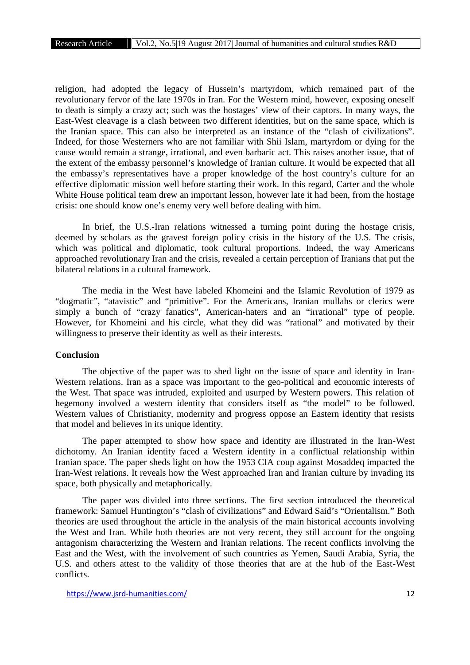religion, had adopted the legacy of Hussein's martyrdom, which remained part of the revolutionary fervor of the late 1970s in Iran. For the Western mind, however, exposing oneself to death is simply a crazy act; such was the hostages' view of their captors. In many ways, the East-West cleavage is a clash between two different identities, but on the same space, which is the Iranian space. This can also be interpreted as an instance of the "clash of civilizations". Indeed, for those Westerners who are not familiar with Shii Islam, martyrdom or dying for the cause would remain a strange, irrational, and even barbaric act. This raises another issue, that of the extent of the embassy personnel's knowledge of Iranian culture. It would be expected that all the embassy's representatives have a proper knowledge of the host country's culture for an effective diplomatic mission well before starting their work. In this regard, Carter and the whole White House political team drew an important lesson, however late it had been, from the hostage crisis: one should know one's enemy very well before dealing with him.

In brief, the U.S.-Iran relations witnessed a turning point during the hostage crisis, deemed by scholars as the gravest foreign policy crisis in the history of the U.S. The crisis, which was political and diplomatic, took cultural proportions. Indeed, the way Americans approached revolutionary Iran and the crisis, revealed a certain perception of Iranians that put the bilateral relations in a cultural framework.

The media in the West have labeled Khomeini and the Islamic Revolution of 1979 as "dogmatic", "atavistic" and "primitive". For the Americans, Iranian mullahs or clerics were simply a bunch of "crazy fanatics", American-haters and an "irrational" type of people. However, for Khomeini and his circle, what they did was "rational" and motivated by their willingness to preserve their identity as well as their interests.

#### **Conclusion**

The objective of the paper was to shed light on the issue of space and identity in Iran- Western relations. Iran as a space was important to the geo-political and economic interests of the West. That space was intruded, exploited and usurped by Western powers. This relation of hegemony involved a western identity that considers itself as "the model" to be followed. Western values of Christianity, modernity and progress oppose an Eastern identity that resists that model and believes in its unique identity.

The paper attempted to show how space and identity are illustrated in the Iran-West dichotomy. An Iranian identity faced a Western identity in a conflictual relationship within Iranian space. The paper sheds light on how the 1953 CIA coup against Mosaddeq impacted the Iran-West relations. It reveals how the West approached Iran and Iranian culture by invading its space, both physically and metaphorically.

The paper was divided into three sections. The first section introduced the theoretical framework: Samuel Huntington's "clash of civilizations" and Edward Said's "Orientalism." Both theories are used throughout the article in the analysis of the main historical accounts involving the West and Iran. While both theories are not very recent, they still account for the ongoing antagonism characterizing the Western and Iranian relations. The recent conflicts involving the East and the West, with the involvement of such countries as Yemen, Saudi Arabia, Syria, the U.S. and others attest to the validity of those theories that are at the hub of the East-West conflicts.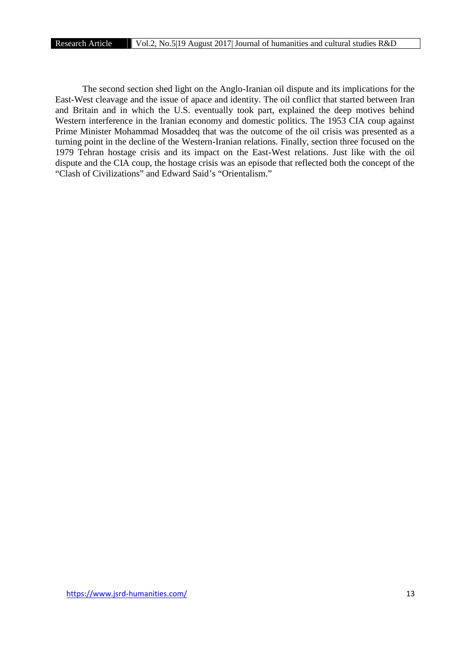The second section shed light on the Anglo-Iranian oil dispute and its implications for the East-West cleavage and the issue of apace and identity. The oil conflict that started between Iran and Britain and in which the U.S. eventually took part, explained the deep motives behind Western interference in the Iranian economy and domestic politics. The 1953 CIA coup against Prime Minister Mohammad Mosaddeq that was the outcome of the oil crisis was presented as a turning point in the decline of the Western-Iranian relations. Finally, section three focused on the 1979 Tehran hostage crisis and its impact on the East-West relations. Just like with the oil dispute and the CIA coup, the hostage crisis was an episode that reflected both the concept of the "Clash of Civilizations" and Edward Said's "Orientalism."